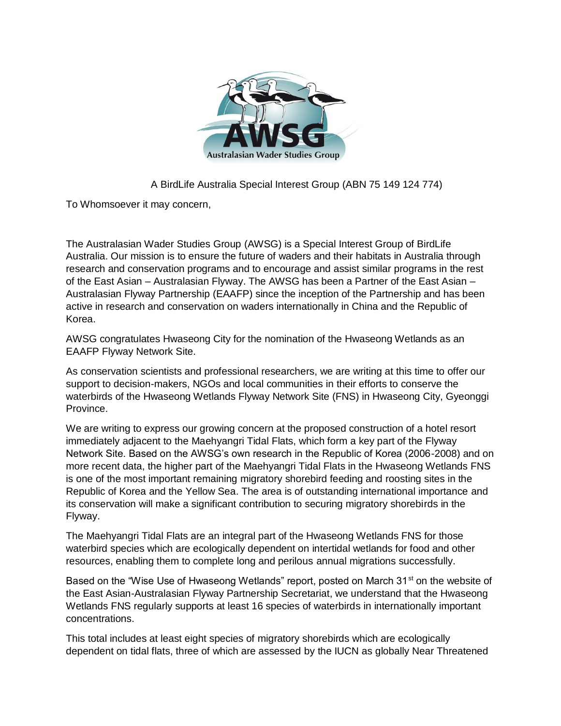

A BirdLife Australia Special Interest Group (ABN 75 149 124 774)

To Whomsoever it may concern,

The Australasian Wader Studies Group (AWSG) is a Special Interest Group of BirdLife Australia. Our mission is to ensure the future of waders and their habitats in Australia through research and conservation programs and to encourage and assist similar programs in the rest of the East Asian – Australasian Flyway. The AWSG has been a Partner of the East Asian – Australasian Flyway Partnership (EAAFP) since the inception of the Partnership and has been active in research and conservation on waders internationally in China and the Republic of Korea.

AWSG congratulates Hwaseong City for the nomination of the Hwaseong Wetlands as an EAAFP Flyway Network Site.

As conservation scientists and professional researchers, we are writing at this time to offer our support to decision-makers, NGOs and local communities in their efforts to conserve the waterbirds of the Hwaseong Wetlands Flyway Network Site (FNS) in Hwaseong City, Gyeonggi Province.

We are writing to express our growing concern at the proposed construction of a hotel resort immediately adjacent to the Maehyangri Tidal Flats, which form a key part of the Flyway Network Site. Based on the AWSG's own research in the Republic of Korea (2006-2008) and on more recent data, the higher part of the Maehyangri Tidal Flats in the Hwaseong Wetlands FNS is one of the most important remaining migratory shorebird feeding and roosting sites in the Republic of Korea and the Yellow Sea. The area is of outstanding international importance and its conservation will make a significant contribution to securing migratory shorebirds in the Flyway.

The Maehyangri Tidal Flats are an integral part of the Hwaseong Wetlands FNS for those waterbird species which are ecologically dependent on intertidal wetlands for food and other resources, enabling them to complete long and perilous annual migrations successfully.

Based on the "Wise Use of Hwaseong Wetlands" report, posted on March 31<sup>st</sup> on the website of the East Asian-Australasian Flyway Partnership Secretariat, we understand that the Hwaseong Wetlands FNS regularly supports at least 16 species of waterbirds in internationally important concentrations.

This total includes at least eight species of migratory shorebirds which are ecologically dependent on tidal flats, three of which are assessed by the IUCN as globally Near Threatened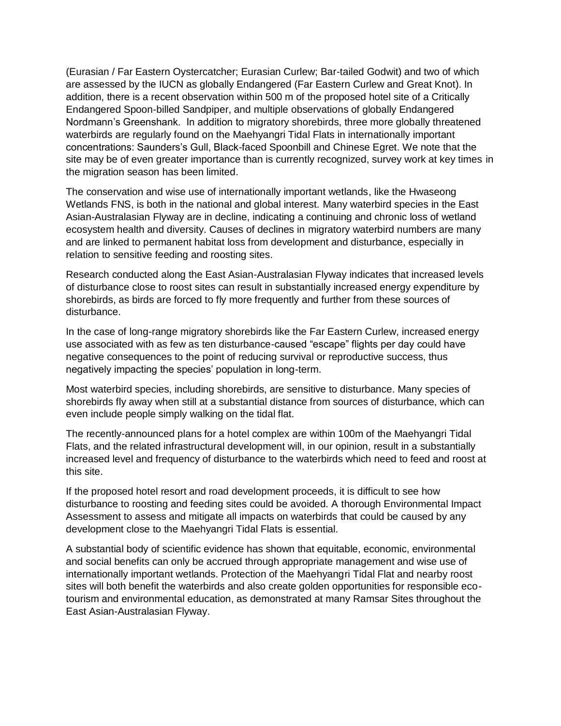(Eurasian / Far Eastern Oystercatcher; Eurasian Curlew; Bar-tailed Godwit) and two of which are assessed by the IUCN as globally Endangered (Far Eastern Curlew and Great Knot). In addition, there is a recent observation within 500 m of the proposed hotel site of a Critically Endangered Spoon-billed Sandpiper, and multiple observations of globally Endangered Nordmann's Greenshank. In addition to migratory shorebirds, three more globally threatened waterbirds are regularly found on the Maehyangri Tidal Flats in internationally important concentrations: Saunders's Gull, Black-faced Spoonbill and Chinese Egret. We note that the site may be of even greater importance than is currently recognized, survey work at key times in the migration season has been limited.

The conservation and wise use of internationally important wetlands, like the Hwaseong Wetlands FNS, is both in the national and global interest. Many waterbird species in the East Asian-Australasian Flyway are in decline, indicating a continuing and chronic loss of wetland ecosystem health and diversity. Causes of declines in migratory waterbird numbers are many and are linked to permanent habitat loss from development and disturbance, especially in relation to sensitive feeding and roosting sites.

Research conducted along the East Asian-Australasian Flyway indicates that increased levels of disturbance close to roost sites can result in substantially increased energy expenditure by shorebirds, as birds are forced to fly more frequently and further from these sources of disturbance.

In the case of long-range migratory shorebirds like the Far Eastern Curlew, increased energy use associated with as few as ten disturbance-caused "escape" flights per day could have negative consequences to the point of reducing survival or reproductive success, thus negatively impacting the species' population in long-term.

Most waterbird species, including shorebirds, are sensitive to disturbance. Many species of shorebirds fly away when still at a substantial distance from sources of disturbance, which can even include people simply walking on the tidal flat.

The recently-announced plans for a hotel complex are within 100m of the Maehyangri Tidal Flats, and the related infrastructural development will, in our opinion, result in a substantially increased level and frequency of disturbance to the waterbirds which need to feed and roost at this site.

If the proposed hotel resort and road development proceeds, it is difficult to see how disturbance to roosting and feeding sites could be avoided. A thorough Environmental Impact Assessment to assess and mitigate all impacts on waterbirds that could be caused by any development close to the Maehyangri Tidal Flats is essential.

A substantial body of scientific evidence has shown that equitable, economic, environmental and social benefits can only be accrued through appropriate management and wise use of internationally important wetlands. Protection of the Maehyangri Tidal Flat and nearby roost sites will both benefit the waterbirds and also create golden opportunities for responsible ecotourism and environmental education, as demonstrated at many Ramsar Sites throughout the East Asian-Australasian Flyway.